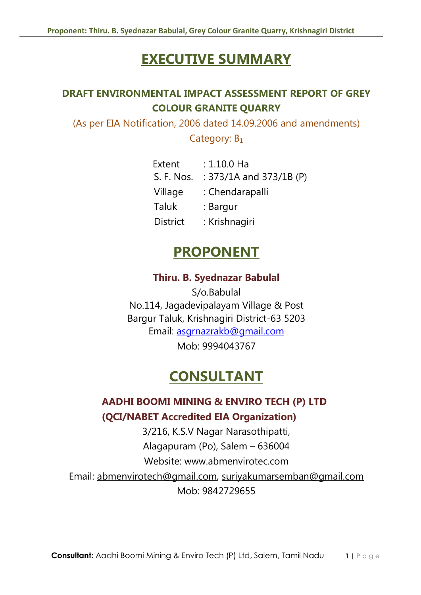# **EXECUTIVE SUMMARY**

# **DRAFT ENVIRONMENTAL IMPACT ASSESSMENT REPORT OF GREY COLOUR GRANITE QUARRY**

(As per EIA Notification, 2006 dated 14.09.2006 and amendments)

Category:  $B_1$ 

| Extent   | $:1.10.0 \ \mathsf{Ha}$            |
|----------|------------------------------------|
|          | S. F. Nos. : 373/1A and 373/1B (P) |
| Village  | : Chendarapalli                    |
| Taluk    | : Bargur                           |
| District | : Krishnagiri                      |

# **PROPONENT**

# **Thiru. B. Syednazar Babulal**

S/o.Babulal No.114, Jagadevipalayam Village & Post Bargur Taluk, Krishnagiri District-63 5203 Email: [asgrnazrakb@gmail.com](mailto:asgrnazrakb@gmail.com) 

Mob: 9994043767

# **CONSULTANT**

# **AADHI BOOMI MINING & ENVIRO TECH (P) LTD (QCI/NABET Accredited EIA Organization)**

3/216, K.S.V Nagar Narasothipatti, Alagapuram (Po), Salem – 636004 Website: [www.abmenvirotec.com](http://www.abmenvirotec.com/) 

Email: [abmenvirotech@gmail.com,](mailto:abmenvirotech@gmail.com) [suriyakumarsemban@gmail.com](mailto:suriyakumarsemban@gmail.com)  Mob: 9842729655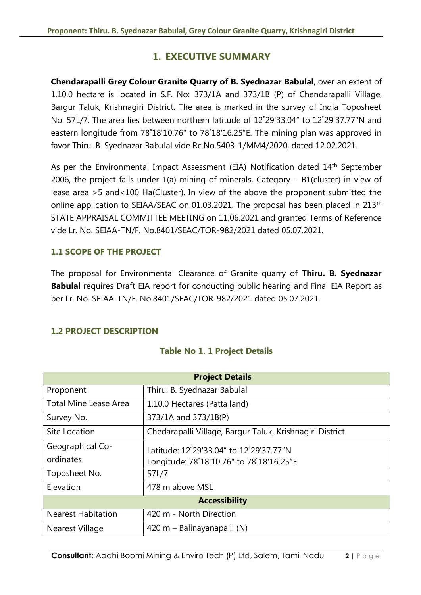## **1. EXECUTIVE SUMMARY**

**Chendarapalli Grey Colour Granite Quarry of B. Syednazar Babulal**, over an extent of 1.10.0 hectare is located in S.F. No: 373/1A and 373/1B (P) of Chendarapalli Village, Bargur Taluk, Krishnagiri District. The area is marked in the survey of India Toposheet No. 57L/7. The area lies between northern latitude of 12°29'33.04" to 12°29'37.77"N and eastern longitude from 78°18'10.76" to 78°18'16.25"E. The mining plan was approved in favor Thiru. B. Syednazar Babulal vide Rc.No.5403-1/MM4/2020, dated 12.02.2021.

As per the Environmental Impact Assessment (EIA) Notification dated 14<sup>th</sup> September 2006, the project falls under 1(a) mining of minerals, Category – B1(cluster) in view of lease area >5 and<100 Ha(Cluster). In view of the above the proponent submitted the online application to SEIAA/SEAC on 01.03.2021. The proposal has been placed in 213th STATE APPRAISAL COMMITTEE MEETING on 11.06.2021 and granted Terms of Reference vide Lr. No. SEIAA-TN/F. No.8401/SEAC/TOR-982/2021 dated 05.07.2021.

### **1.1 SCOPE OF THE PROJECT**

The proposal for Environmental Clearance of Granite quarry of **Thiru. B. Syednazar Babulal** requires Draft EIA report for conducting public hearing and Final EIA Report as per Lr. No. SEIAA-TN/F. No.8401/SEAC/TOR-982/2021 dated 05.07.2021.

#### **1.2 PROJECT DESCRIPTION**

|                              | <b>Project Details</b>                                   |  |  |  |
|------------------------------|----------------------------------------------------------|--|--|--|
| Proponent                    | Thiru. B. Syednazar Babulal                              |  |  |  |
| <b>Total Mine Lease Area</b> | 1.10.0 Hectares (Patta land)                             |  |  |  |
| Survey No.                   | 373/1A and 373/1B(P)                                     |  |  |  |
| Site Location                | Chedarapalli Village, Bargur Taluk, Krishnagiri District |  |  |  |
| Geographical Co-             | Latitude: 12°29'33.04" to 12°29'37.77"N                  |  |  |  |
| ordinates                    | Longitude: 78°18'10.76" to 78°18'16.25"E                 |  |  |  |
| Toposheet No.                | 57L/7                                                    |  |  |  |
| Elevation<br>478 m above MSL |                                                          |  |  |  |
|                              | <b>Accessibility</b>                                     |  |  |  |
| <b>Nearest Habitation</b>    | 420 m - North Direction                                  |  |  |  |
| Nearest Village              | 420 m - Balinayanapalli (N)                              |  |  |  |

#### **Table No 1. 1 Project Details**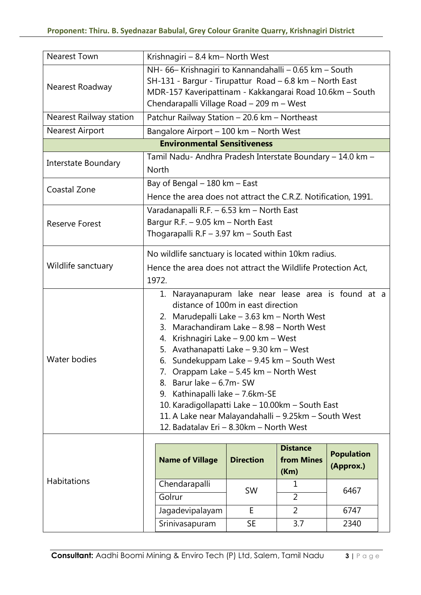| <b>Nearest Town</b>            | Krishnagiri - 8.4 km- North West                                                                                                                                                                                                                                                                                                                                                                                                                                                                                                                                                                  |                                         |                                              |                                |  |
|--------------------------------|---------------------------------------------------------------------------------------------------------------------------------------------------------------------------------------------------------------------------------------------------------------------------------------------------------------------------------------------------------------------------------------------------------------------------------------------------------------------------------------------------------------------------------------------------------------------------------------------------|-----------------------------------------|----------------------------------------------|--------------------------------|--|
| Nearest Roadway                | NH- 66- Krishnagiri to Kannandahalli - 0.65 km - South<br>SH-131 - Bargur - Tirupattur Road - 6.8 km - North East<br>MDR-157 Kaveripattinam - Kakkangarai Road 10.6km - South<br>Chendarapalli Village Road - 209 m - West                                                                                                                                                                                                                                                                                                                                                                        |                                         |                                              |                                |  |
| <b>Nearest Railway station</b> | Patchur Railway Station - 20.6 km - Northeast                                                                                                                                                                                                                                                                                                                                                                                                                                                                                                                                                     |                                         |                                              |                                |  |
| <b>Nearest Airport</b>         |                                                                                                                                                                                                                                                                                                                                                                                                                                                                                                                                                                                                   | Bangalore Airport - 100 km - North West |                                              |                                |  |
|                                | <b>Environmental Sensitiveness</b>                                                                                                                                                                                                                                                                                                                                                                                                                                                                                                                                                                |                                         |                                              |                                |  |
| Interstate Boundary            | Tamil Nadu- Andhra Pradesh Interstate Boundary – 14.0 km –<br><b>North</b>                                                                                                                                                                                                                                                                                                                                                                                                                                                                                                                        |                                         |                                              |                                |  |
| Coastal Zone                   | Bay of Bengal - 180 km - East<br>Hence the area does not attract the C.R.Z. Notification, 1991.                                                                                                                                                                                                                                                                                                                                                                                                                                                                                                   |                                         |                                              |                                |  |
| <b>Reserve Forest</b>          | Varadanapalli R.F. - 6.53 km - North East<br>Bargur R.F. - 9.05 km - North East<br>Thogarapalli R.F - 3.97 km - South East                                                                                                                                                                                                                                                                                                                                                                                                                                                                        |                                         |                                              |                                |  |
| Wildlife sanctuary             | No wildlife sanctuary is located within 10km radius.<br>Hence the area does not attract the Wildlife Protection Act,<br>1972.                                                                                                                                                                                                                                                                                                                                                                                                                                                                     |                                         |                                              |                                |  |
| Water bodies                   | 1. Narayanapuram lake near lease area is found at a<br>distance of 100m in east direction<br>2. Marudepalli Lake - 3.63 km - North West<br>Marachandiram Lake - 8.98 - North West<br>3.<br>4. Krishnagiri Lake - 9.00 km - West<br>Avathanapatti Lake - 9.30 km - West<br>5.<br>6. Sundekuppam Lake - 9.45 km - South West<br>7. Orappam Lake - 5.45 km - North West<br>Barur lake - 6.7m - SW<br>8.<br>Kathinapalli lake - 7.6km-SE<br>9.<br>10. Karadigollapatti Lake - 10.00km - South East<br>11. A Lake near Malayandahalli - 9.25km - South West<br>12. Badatalav Eri - 8.30km - North West |                                         |                                              |                                |  |
|                                | <b>Name of Village</b>                                                                                                                                                                                                                                                                                                                                                                                                                                                                                                                                                                            | <b>Direction</b>                        | <b>Distance</b><br><b>from Mines</b><br>(Km) | <b>Population</b><br>(Approx.) |  |
| <b>Habitations</b>             | Chendarapalli<br>Golrur                                                                                                                                                                                                                                                                                                                                                                                                                                                                                                                                                                           | <b>SW</b>                               | 1<br>$\overline{2}$                          | 6467                           |  |
|                                | Jagadevipalayam                                                                                                                                                                                                                                                                                                                                                                                                                                                                                                                                                                                   | E                                       | $\overline{2}$                               | 6747                           |  |
|                                | Srinivasapuram                                                                                                                                                                                                                                                                                                                                                                                                                                                                                                                                                                                    | <b>SE</b>                               | 3.7                                          | 2340                           |  |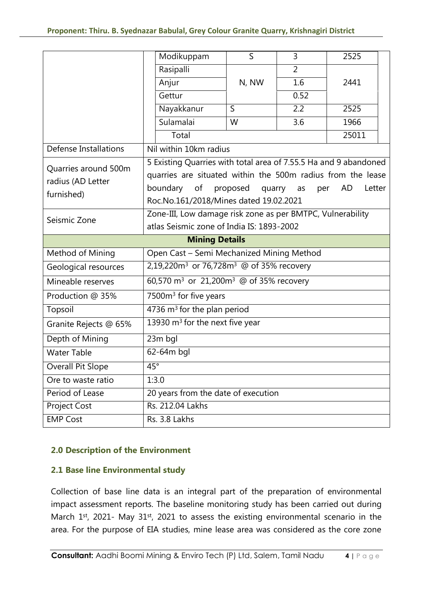|                       | Modikuppam                                                       | $\mathsf{S}$ | 3                | 2525         |  |
|-----------------------|------------------------------------------------------------------|--------------|------------------|--------------|--|
|                       | Rasipalli                                                        |              | $\overline{2}$   |              |  |
|                       | Anjur                                                            | N, NW        | 1.6              | 2441         |  |
|                       | Gettur                                                           |              | 0.52             |              |  |
|                       | Nayakkanur                                                       | $\mathsf{S}$ | 2.2              | 2525         |  |
|                       | Sulamalai                                                        | W            | 3.6              | 1966         |  |
|                       | Total                                                            |              |                  | 25011        |  |
| Defense Installations | Nil within 10km radius                                           |              |                  |              |  |
| Quarries around 500m  | 5 Existing Quarries with total area of 7.55.5 Ha and 9 abandoned |              |                  |              |  |
| radius (AD Letter     | quarries are situated within the 500m radius from the lease      |              |                  |              |  |
| furnished)            | boundary of proposed                                             |              | quarry as<br>per | AD<br>Letter |  |
|                       | Roc.No.161/2018/Mines dated 19.02.2021                           |              |                  |              |  |
| Seismic Zone          | Zone-III, Low damage risk zone as per BMTPC, Vulnerability       |              |                  |              |  |
|                       | atlas Seismic zone of India IS: 1893-2002                        |              |                  |              |  |
| <b>Mining Details</b> |                                                                  |              |                  |              |  |
| Method of Mining      | Open Cast - Semi Mechanized Mining Method                        |              |                  |              |  |
| Geological resources  | 2,19,220m <sup>3</sup> or 76,728m <sup>3</sup> @ of 35% recovery |              |                  |              |  |
| Mineable reserves     | 60,570 m <sup>3</sup> or 21,200m <sup>3</sup> @ of 35% recovery  |              |                  |              |  |
| Production @ 35%      | 7500m <sup>3</sup> for five years                                |              |                  |              |  |
| Topsoil               | 4736 m <sup>3</sup> for the plan period                          |              |                  |              |  |
| Granite Rejects @ 65% | 13930 m <sup>3</sup> for the next five year                      |              |                  |              |  |
| Depth of Mining       | 23m bgl                                                          |              |                  |              |  |
| <b>Water Table</b>    | 62-64m bgl                                                       |              |                  |              |  |
| Overall Pit Slope     | $45^\circ$                                                       |              |                  |              |  |
| Ore to waste ratio    | 1:3.0                                                            |              |                  |              |  |
| Period of Lease       | 20 years from the date of execution                              |              |                  |              |  |
| <b>Project Cost</b>   | Rs. 212.04 Lakhs                                                 |              |                  |              |  |
| <b>EMP Cost</b>       | Rs. 3.8 Lakhs                                                    |              |                  |              |  |

#### **2.0 Description of the Environment**

#### **2.1 Base line Environmental study**

Collection of base line data is an integral part of the preparation of environmental impact assessment reports. The baseline monitoring study has been carried out during March  $1<sup>st</sup>$ , 2021- May 31 $<sup>st</sup>$ , 2021 to assess the existing environmental scenario in the</sup> area. For the purpose of EIA studies, mine lease area was considered as the core zone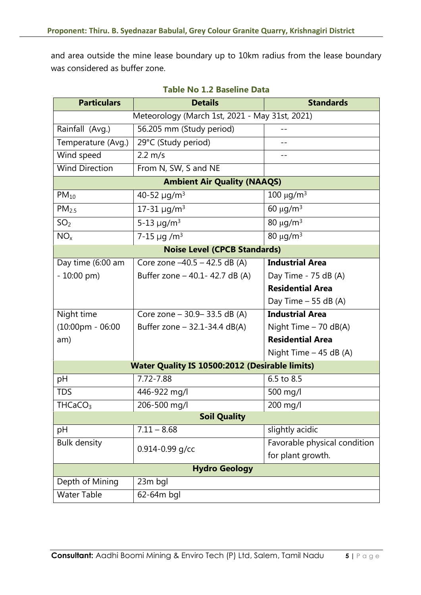and area outside the mine lease boundary up to 10km radius from the lease boundary was considered as buffer zone.

| <b>Particulars</b>                             | <b>Details</b>                                        | <b>Standards</b>             |  |  |
|------------------------------------------------|-------------------------------------------------------|------------------------------|--|--|
| Meteorology (March 1st, 2021 - May 31st, 2021) |                                                       |                              |  |  |
| Rainfall (Avg.)                                | 56.205 mm (Study period)                              |                              |  |  |
| Temperature (Avg.)                             | 29°C (Study period)                                   |                              |  |  |
| Wind speed                                     | $2.2 \text{ m/s}$                                     |                              |  |  |
| <b>Wind Direction</b>                          | From N, SW, S and NE                                  |                              |  |  |
|                                                | <b>Ambient Air Quality (NAAQS)</b>                    |                              |  |  |
| $PM_{10}$                                      | 40-52 µg/m <sup>3</sup>                               | 100 $\mu$ g/m <sup>3</sup>   |  |  |
| PM <sub>2.5</sub>                              | 17-31 $\mu$ g/m <sup>3</sup>                          | 60 $\mu$ g/m <sup>3</sup>    |  |  |
| SO <sub>2</sub>                                | $5 - 13 \mu q/m^3$                                    | $80 \mu g/m3$                |  |  |
| NO <sub>x</sub>                                | 7-15 $\mu$ g /m <sup>3</sup>                          | $80 \mu g/m3$                |  |  |
|                                                | <b>Noise Level (CPCB Standards)</b>                   |                              |  |  |
| Day time (6:00 am                              | Core zone -40.5 - 42.5 dB (A)                         | <b>Industrial Area</b>       |  |  |
| $-10:00$ pm)                                   | Buffer zone - 40.1 - 42.7 dB (A)                      | Day Time - 75 dB (A)         |  |  |
|                                                |                                                       | <b>Residential Area</b>      |  |  |
|                                                |                                                       | Day Time $-55$ dB (A)        |  |  |
| Night time                                     | Core zone - 30.9 - 33.5 dB (A)                        | <b>Industrial Area</b>       |  |  |
| $(10:00 \text{pm} - 06:00)$                    | Buffer zone $-$ 32.1-34.4 dB(A)                       | Night Time $-70$ dB(A)       |  |  |
| am)                                            |                                                       | <b>Residential Area</b>      |  |  |
|                                                |                                                       | Night Time $-45$ dB (A)      |  |  |
|                                                | <b>Water Quality IS 10500:2012 (Desirable limits)</b> |                              |  |  |
| pH                                             | 7.72-7.88                                             | 6.5 to $8.\overline{5}$      |  |  |
| <b>TDS</b>                                     | 446-922 mg/l                                          | 500 mg/l                     |  |  |
| THCaCO <sub>3</sub>                            | 206-500 mg/l                                          | 200 mg/l                     |  |  |
|                                                | <b>Soil Quality</b>                                   |                              |  |  |
| pH                                             | $7.11 - 8.68$                                         | slightly acidic              |  |  |
| <b>Bulk density</b>                            | $0.914 - 0.99$ g/cc                                   | Favorable physical condition |  |  |
|                                                |                                                       | for plant growth.            |  |  |
|                                                | <b>Hydro Geology</b>                                  |                              |  |  |
| Depth of Mining                                | 23m bgl                                               |                              |  |  |
| <b>Water Table</b>                             | 62-64m bgl                                            |                              |  |  |

#### **Table No 1.2 Baseline Data**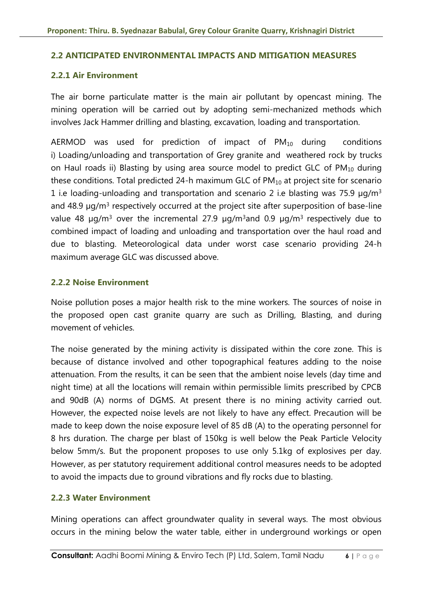#### **2.2 ANTICIPATED ENVIRONMENTAL IMPACTS AND MITIGATION MEASURES**

#### **2.2.1 Air Environment**

The air borne particulate matter is the main air pollutant by opencast mining. The mining operation will be carried out by adopting semi-mechanized methods which involves Jack Hammer drilling and blasting, excavation, loading and transportation.

AERMOD was used for prediction of impact of  $PM_{10}$  during conditions i) Loading/unloading and transportation of Grey granite and weathered rock by trucks on Haul roads ii) Blasting by using area source model to predict GLC of  $PM_{10}$  during these conditions. Total predicted 24-h maximum GLC of  $PM_{10}$  at project site for scenario 1 i.e loading-unloading and transportation and scenario 2 i.e blasting was 75.9  $\mu q/m^3$ and  $48.9 \mu g/m<sup>3</sup>$  respectively occurred at the project site after superposition of base-line value 48  $\mu$ g/m<sup>3</sup> over the incremental 27.9  $\mu$ g/m<sup>3</sup> and 0.9  $\mu$ g/m<sup>3</sup> respectively due to combined impact of loading and unloading and transportation over the haul road and due to blasting. Meteorological data under worst case scenario providing 24-h maximum average GLC was discussed above.

#### **2.2.2 Noise Environment**

Noise pollution poses a major health risk to the mine workers. The sources of noise in the proposed open cast granite quarry are such as Drilling, Blasting, and during movement of vehicles.

The noise generated by the mining activity is dissipated within the core zone. This is because of distance involved and other topographical features adding to the noise attenuation. From the results, it can be seen that the ambient noise levels (day time and night time) at all the locations will remain within permissible limits prescribed by CPCB and 90dB (A) norms of DGMS. At present there is no mining activity carried out. However, the expected noise levels are not likely to have any effect. Precaution will be made to keep down the noise exposure level of 85 dB (A) to the operating personnel for 8 hrs duration. The charge per blast of 150kg is well below the Peak Particle Velocity below 5mm/s. But the proponent proposes to use only 5.1kg of explosives per day. However, as per statutory requirement additional control measures needs to be adopted to avoid the impacts due to ground vibrations and fly rocks due to blasting.

#### **2.2.3 Water Environment**

Mining operations can affect groundwater quality in several ways. The most obvious occurs in the mining below the water table, either in underground workings or open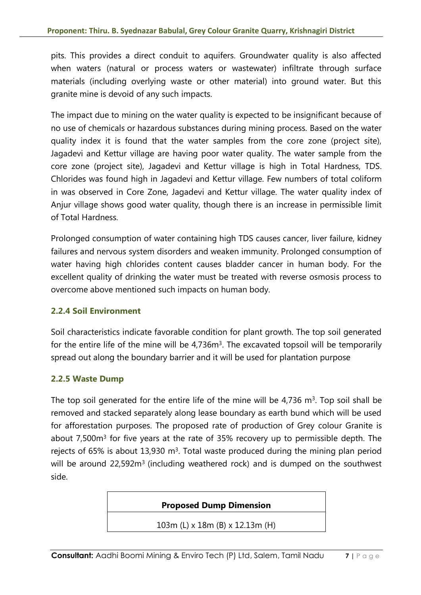pits. This provides a direct conduit to aquifers. Groundwater quality is also affected when waters (natural or process waters or wastewater) infiltrate through surface materials (including overlying waste or other material) into ground water. But this granite mine is devoid of any such impacts.

The impact due to mining on the water quality is expected to be insignificant because of no use of chemicals or hazardous substances during mining process. Based on the water quality index it is found that the water samples from the core zone (project site), Jagadevi and Kettur village are having poor water quality. The water sample from the core zone (project site), Jagadevi and Kettur village is high in Total Hardness, TDS. Chlorides was found high in Jagadevi and Kettur village. Few numbers of total coliform in was observed in Core Zone, Jagadevi and Kettur village. The water quality index of Anjur village shows good water quality, though there is an increase in permissible limit of Total Hardness.

Prolonged consumption of water containing high TDS causes cancer, liver failure, kidney failures and nervous system disorders and weaken immunity. Prolonged consumption of water having high chlorides content causes bladder cancer in human body. For the excellent quality of drinking the water must be treated with reverse osmosis process to overcome above mentioned such impacts on human body.

#### **2.2.4 Soil Environment**

Soil characteristics indicate favorable condition for plant growth. The top soil generated for the entire life of the mine will be 4,736m<sup>3</sup>. The excavated topsoil will be temporarily spread out along the boundary barrier and it will be used for plantation purpose

#### **2.2.5 Waste Dump**

The top soil generated for the entire life of the mine will be  $4,736$  m<sup>3</sup>. Top soil shall be removed and stacked separately along lease boundary as earth bund which will be used for afforestation purposes. The proposed rate of production of Grey colour Granite is about 7,500m<sup>3</sup> for five years at the rate of 35% recovery up to permissible depth. The rejects of 65% is about 13,930  $m<sup>3</sup>$ . Total waste produced during the mining plan period will be around  $22,592m<sup>3</sup>$  (including weathered rock) and is dumped on the southwest side.

**Proposed Dump Dimension** 

103m (L) x 18m (B) x 12.13m (H)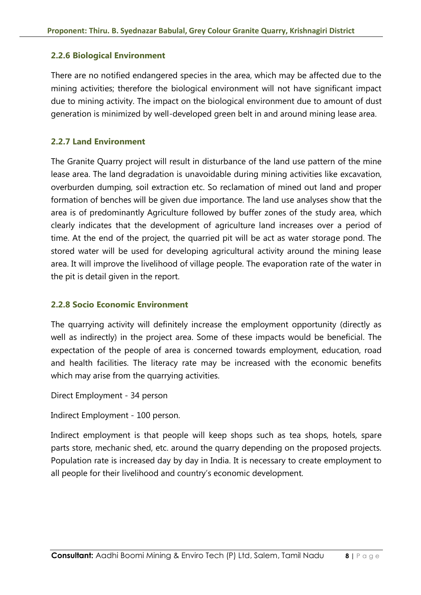#### **2.2.6 Biological Environment**

There are no notified endangered species in the area, which may be affected due to the mining activities; therefore the biological environment will not have significant impact due to mining activity. The impact on the biological environment due to amount of dust generation is minimized by well-developed green belt in and around mining lease area.

#### **2.2.7 Land Environment**

The Granite Quarry project will result in disturbance of the land use pattern of the mine lease area. The land degradation is unavoidable during mining activities like excavation, overburden dumping, soil extraction etc. So reclamation of mined out land and proper formation of benches will be given due importance. The land use analyses show that the area is of predominantly Agriculture followed by buffer zones of the study area, which clearly indicates that the development of agriculture land increases over a period of time. At the end of the project, the quarried pit will be act as water storage pond. The stored water will be used for developing agricultural activity around the mining lease area. It will improve the livelihood of village people. The evaporation rate of the water in the pit is detail given in the report.

#### **2.2.8 Socio Economic Environment**

The quarrying activity will definitely increase the employment opportunity (directly as well as indirectly) in the project area. Some of these impacts would be beneficial. The expectation of the people of area is concerned towards employment, education, road and health facilities. The literacy rate may be increased with the economic benefits which may arise from the quarrying activities.

Direct Employment - 34 person

Indirect Employment - 100 person.

Indirect employment is that people will keep shops such as tea shops, hotels, spare parts store, mechanic shed, etc. around the quarry depending on the proposed projects. Population rate is increased day by day in India. It is necessary to create employment to all people for their livelihood and country's economic development.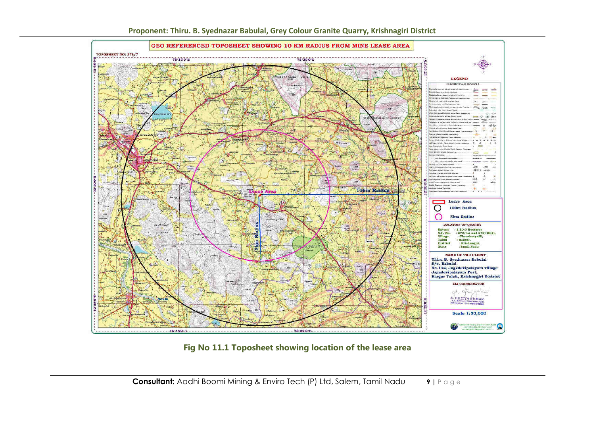

**Fig No 11.1 Toposheet showing location of the lease area**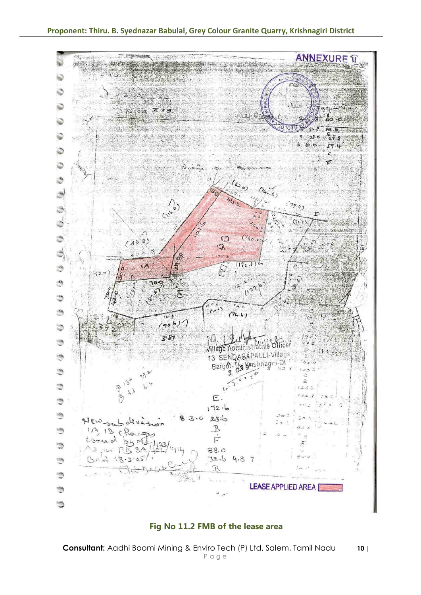

#### **Fig No 11.2 FMB of the lease area**

**Consultant:** Aadhi Boomi Mining & Enviro Tech (P) Ltd, Salem, Tamil Nadu **10 |**  P a g e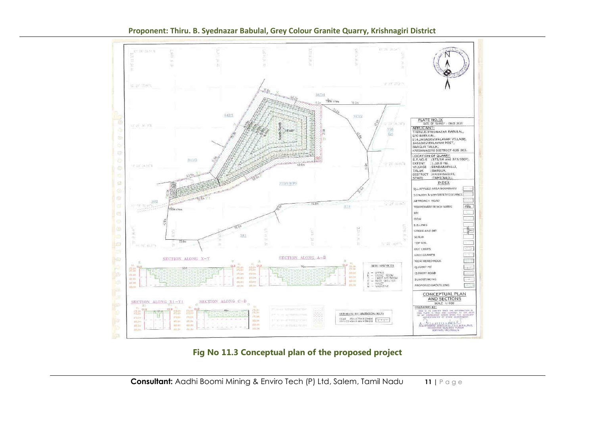

**Proponent: Thiru. B. Syednazar Babulal, Grey Colour Granite Quarry, Krishnagiri District**

### **Fig No 11.3 Conceptual plan of the proposed project**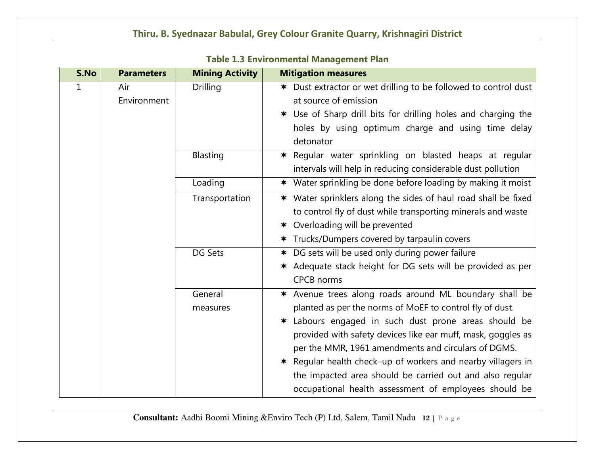| S.No | <b>Parameters</b>  | <b>Mining Activity</b> | <b>Mitigation measures</b>                                                                                                                                                                                                                                                                                                                                                                                                                                                             |
|------|--------------------|------------------------|----------------------------------------------------------------------------------------------------------------------------------------------------------------------------------------------------------------------------------------------------------------------------------------------------------------------------------------------------------------------------------------------------------------------------------------------------------------------------------------|
| 1    | Air<br>Environment | <b>Drilling</b>        | Dust extractor or wet drilling to be followed to control dust<br>$\bigstar$<br>at source of emission<br>* Use of Sharp drill bits for drilling holes and charging the<br>holes by using optimum charge and using time delay<br>detonator                                                                                                                                                                                                                                               |
|      |                    | Blasting               | * Regular water sprinkling on blasted heaps at regular<br>intervals will help in reducing considerable dust pollution                                                                                                                                                                                                                                                                                                                                                                  |
|      |                    | Loading                | * Water sprinkling be done before loading by making it moist                                                                                                                                                                                                                                                                                                                                                                                                                           |
|      |                    | Transportation         | * Water sprinklers along the sides of haul road shall be fixed<br>to control fly of dust while transporting minerals and waste<br>* Overloading will be prevented<br>* Trucks/Dumpers covered by tarpaulin covers                                                                                                                                                                                                                                                                      |
|      |                    | DG Sets                | * DG sets will be used only during power failure<br>* Adequate stack height for DG sets will be provided as per<br><b>CPCB</b> norms                                                                                                                                                                                                                                                                                                                                                   |
|      |                    | General<br>measures    | * Avenue trees along roads around ML boundary shall be<br>planted as per the norms of MoEF to control fly of dust.<br>* Labours engaged in such dust prone areas should be<br>provided with safety devices like ear muff, mask, goggles as<br>per the MMR, 1961 amendments and circulars of DGMS.<br>* Regular health check-up of workers and nearby villagers in<br>the impacted area should be carried out and also regular<br>occupational health assessment of employees should be |

**Table 1.3 Environmental Management Plan** 

**Consultant:** Aadhi Boomi Mining &Enviro Tech (P) Ltd, Salem, Tamil Nadu **<sup>12</sup> <sup>|</sup>**P a g e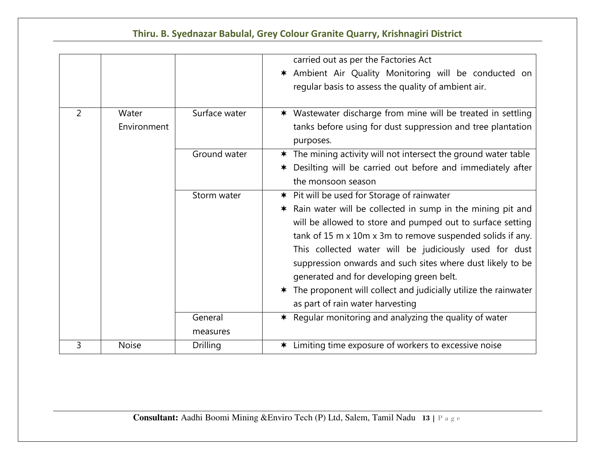|                |              |                 | carried out as per the Factories Act                              |
|----------------|--------------|-----------------|-------------------------------------------------------------------|
|                |              |                 | * Ambient Air Quality Monitoring will be conducted on             |
|                |              |                 | regular basis to assess the quality of ambient air.               |
|                |              |                 |                                                                   |
| $\overline{2}$ | Water        | Surface water   | * Wastewater discharge from mine will be treated in settling      |
|                | Environment  |                 | tanks before using for dust suppression and tree plantation       |
|                |              |                 | purposes.                                                         |
|                |              | Ground water    | * The mining activity will not intersect the ground water table   |
|                |              |                 | Desilting will be carried out before and immediately after        |
|                |              |                 | the monsoon season                                                |
|                |              | Storm water     | <b>★</b> Pit will be used for Storage of rainwater                |
|                |              |                 | * Rain water will be collected in sump in the mining pit and      |
|                |              |                 | will be allowed to store and pumped out to surface setting        |
|                |              |                 | tank of 15 m x 10m x 3m to remove suspended solids if any.        |
|                |              |                 | This collected water will be judiciously used for dust            |
|                |              |                 | suppression onwards and such sites where dust likely to be        |
|                |              |                 | generated and for developing green belt.                          |
|                |              |                 | * The proponent will collect and judicially utilize the rainwater |
|                |              |                 | as part of rain water harvesting                                  |
|                |              | General         | * Regular monitoring and analyzing the quality of water           |
|                |              | measures        |                                                                   |
| 3              | <b>Noise</b> | <b>Drilling</b> | * Limiting time exposure of workers to excessive noise            |

**Consultant:** Aadhi Boomi Mining &Enviro Tech (P) Ltd, Salem, Tamil Nadu **<sup>13</sup> <sup>|</sup>**P a g e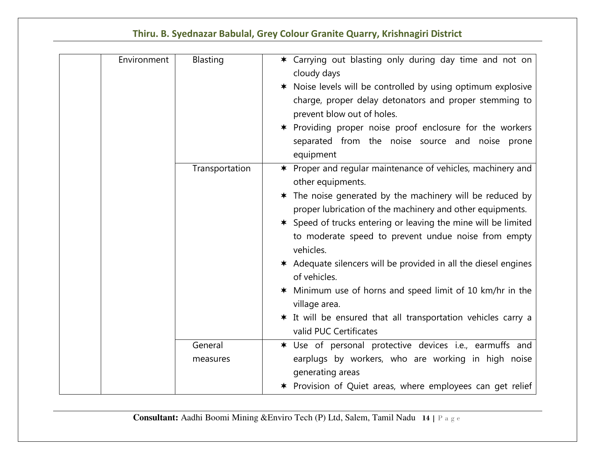| Environment | Blasting            | * Carrying out blasting only during day time and not on<br>cloudy days<br>* Noise levels will be controlled by using optimum explosive<br>charge, proper delay detonators and proper stemming to<br>prevent blow out of holes.<br>* Providing proper noise proof enclosure for the workers<br>separated from the noise source and noise prone<br>equipment                                                                                                                                                                                                                                                   |
|-------------|---------------------|--------------------------------------------------------------------------------------------------------------------------------------------------------------------------------------------------------------------------------------------------------------------------------------------------------------------------------------------------------------------------------------------------------------------------------------------------------------------------------------------------------------------------------------------------------------------------------------------------------------|
|             | Transportation      | * Proper and regular maintenance of vehicles, machinery and<br>other equipments.<br>* The noise generated by the machinery will be reduced by<br>proper lubrication of the machinery and other equipments.<br>* Speed of trucks entering or leaving the mine will be limited<br>to moderate speed to prevent undue noise from empty<br>vehicles.<br>* Adequate silencers will be provided in all the diesel engines<br>of vehicles.<br>* Minimum use of horns and speed limit of 10 km/hr in the<br>village area.<br>* It will be ensured that all transportation vehicles carry a<br>valid PUC Certificates |
|             | General<br>measures | * Use of personal protective devices i.e., earmuffs and<br>earplugs by workers, who are working in high noise<br>generating areas<br>* Provision of Quiet areas, where employees can get relief                                                                                                                                                                                                                                                                                                                                                                                                              |

**Consultant:** Aadhi Boomi Mining &Enviro Tech (P) Ltd, Salem, Tamil Nadu **<sup>14</sup> <sup>|</sup>**P a g e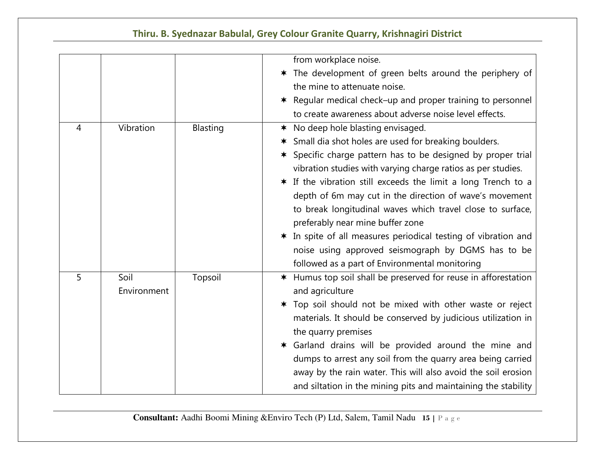|                |             |          | from workplace noise.                                             |
|----------------|-------------|----------|-------------------------------------------------------------------|
|                |             |          | The development of green belts around the periphery of<br>$\star$ |
|                |             |          | the mine to attenuate noise.                                      |
|                |             |          | * Regular medical check-up and proper training to personnel       |
|                |             |          | to create awareness about adverse noise level effects.            |
| $\overline{4}$ | Vibration   | Blasting | * No deep hole blasting envisaged.                                |
|                |             |          | * Small dia shot holes are used for breaking boulders.            |
|                |             |          | * Specific charge pattern has to be designed by proper trial      |
|                |             |          | vibration studies with varying charge ratios as per studies.      |
|                |             |          | * If the vibration still exceeds the limit a long Trench to a     |
|                |             |          | depth of 6m may cut in the direction of wave's movement           |
|                |             |          | to break longitudinal waves which travel close to surface,        |
|                |             |          | preferably near mine buffer zone                                  |
|                |             |          | * In spite of all measures periodical testing of vibration and    |
|                |             |          | noise using approved seismograph by DGMS has to be                |
|                |             |          | followed as a part of Environmental monitoring                    |
| 5              | Soil        | Topsoil  | * Humus top soil shall be preserved for reuse in afforestation    |
|                | Environment |          | and agriculture                                                   |
|                |             |          | * Top soil should not be mixed with other waste or reject         |
|                |             |          | materials. It should be conserved by judicious utilization in     |
|                |             |          | the quarry premises                                               |
|                |             |          | * Garland drains will be provided around the mine and             |
|                |             |          | dumps to arrest any soil from the quarry area being carried       |
|                |             |          | away by the rain water. This will also avoid the soil erosion     |
|                |             |          | and siltation in the mining pits and maintaining the stability    |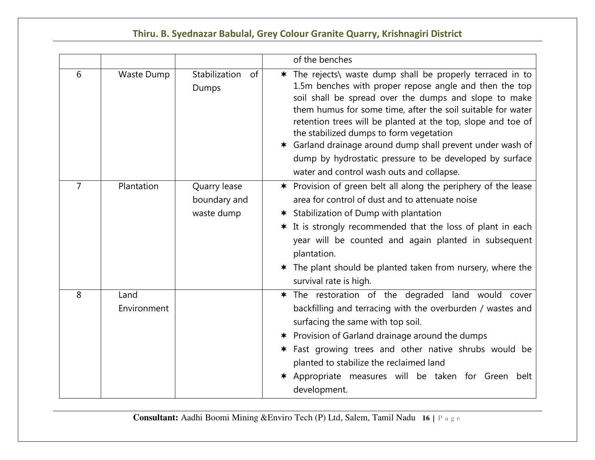|                |                     |                                            | of the benches                                                                                                                                                                                                                                                                                                                                                                                                                                                                                                                |
|----------------|---------------------|--------------------------------------------|-------------------------------------------------------------------------------------------------------------------------------------------------------------------------------------------------------------------------------------------------------------------------------------------------------------------------------------------------------------------------------------------------------------------------------------------------------------------------------------------------------------------------------|
| 6              | Waste Dump          | Stabilization<br>of<br>Dumps               | * The rejects\ waste dump shall be properly terraced in to<br>1.5m benches with proper repose angle and then the top<br>soil shall be spread over the dumps and slope to make<br>them humus for some time, after the soil suitable for water<br>retention trees will be planted at the top, slope and toe of<br>the stabilized dumps to form vegetation<br>* Garland drainage around dump shall prevent under wash of<br>dump by hydrostatic pressure to be developed by surface<br>water and control wash outs and collapse. |
| $\overline{7}$ | Plantation          | Quarry lease<br>boundary and<br>waste dump | * Provision of green belt all along the periphery of the lease<br>area for control of dust and to attenuate noise<br>* Stabilization of Dump with plantation<br>* It is strongly recommended that the loss of plant in each<br>year will be counted and again planted in subsequent<br>plantation.<br>* The plant should be planted taken from nursery, where the<br>survival rate is high.                                                                                                                                   |
| 8              | Land<br>Environment |                                            | * The restoration of the degraded land would cover<br>backfilling and terracing with the overburden / wastes and<br>surfacing the same with top soil.<br><b>★</b> Provision of Garland drainage around the dumps<br>* Fast growing trees and other native shrubs would be<br>planted to stabilize the reclaimed land<br>* Appropriate measures will be taken for Green belt<br>development.                                                                                                                                   |

**Consultant:** Aadhi Boomi Mining &Enviro Tech (P) Ltd, Salem, Tamil Nadu **<sup>16</sup> <sup>|</sup>**P a g e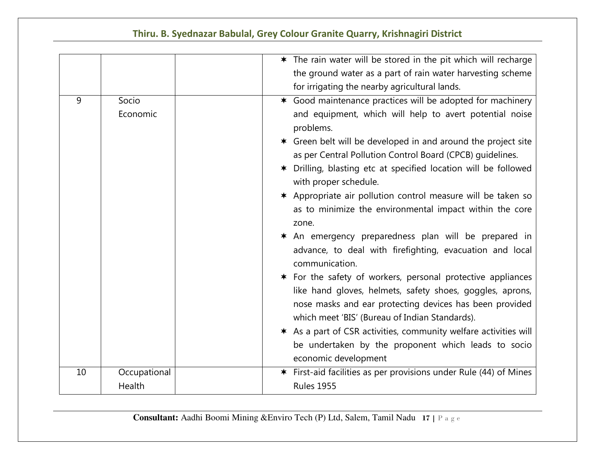|    |              | * The rain water will be stored in the pit which will recharge                                                                                                                                                                                                                                            |
|----|--------------|-----------------------------------------------------------------------------------------------------------------------------------------------------------------------------------------------------------------------------------------------------------------------------------------------------------|
|    |              | the ground water as a part of rain water harvesting scheme                                                                                                                                                                                                                                                |
|    |              | for irrigating the nearby agricultural lands.                                                                                                                                                                                                                                                             |
| 9  | Socio        | * Good maintenance practices will be adopted for machinery                                                                                                                                                                                                                                                |
|    | Economic     | and equipment, which will help to avert potential noise<br>problems.                                                                                                                                                                                                                                      |
|    |              | * Green belt will be developed in and around the project site                                                                                                                                                                                                                                             |
|    |              | as per Central Pollution Control Board (CPCB) guidelines.                                                                                                                                                                                                                                                 |
|    |              | * Drilling, blasting etc at specified location will be followed<br>with proper schedule.                                                                                                                                                                                                                  |
|    |              | * Appropriate air pollution control measure will be taken so<br>as to minimize the environmental impact within the core<br>zone.                                                                                                                                                                          |
|    |              | * An emergency preparedness plan will be prepared in<br>advance, to deal with firefighting, evacuation and local<br>communication.                                                                                                                                                                        |
|    |              | * For the safety of workers, personal protective appliances<br>like hand gloves, helmets, safety shoes, goggles, aprons,<br>nose masks and ear protecting devices has been provided<br>which meet 'BIS' (Bureau of Indian Standards).<br>* As a part of CSR activities, community welfare activities will |
|    |              | be undertaken by the proponent which leads to socio<br>economic development                                                                                                                                                                                                                               |
| 10 | Occupational | * First-aid facilities as per provisions under Rule (44) of Mines                                                                                                                                                                                                                                         |
|    | Health       | <b>Rules 1955</b>                                                                                                                                                                                                                                                                                         |

**Consultant:** Aadhi Boomi Mining &Enviro Tech (P) Ltd, Salem, Tamil Nadu **<sup>17</sup> <sup>|</sup>**P a g e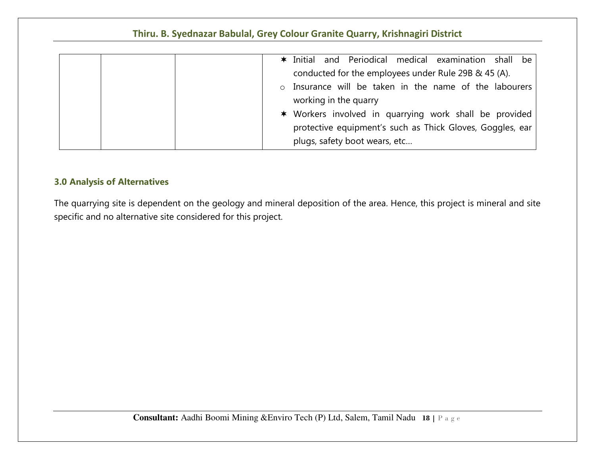|  | * Initial and Periodical medical examination shall be            |
|--|------------------------------------------------------------------|
|  | conducted for the employees under Rule 29B & 45 (A).             |
|  | Insurance will be taken in the name of the labourers<br>$\Omega$ |
|  | working in the quarry                                            |
|  | * Workers involved in quarrying work shall be provided           |
|  | protective equipment's such as Thick Gloves, Goggles, ear        |
|  | plugs, safety boot wears, etc                                    |

#### **3.0 Analysis of Alternatives**

The quarrying site is dependent on the geology and mineral deposition of the area. Hence, this project is mineral and site specific and no alternative site considered for this project.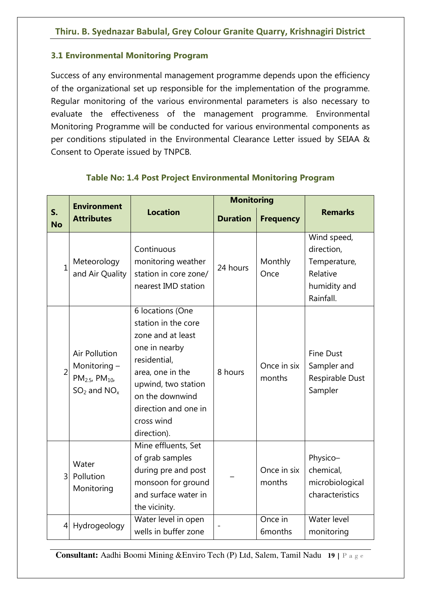## **3.1 Environmental Monitoring Program**

Success of any environmental management programme depends upon the efficiency of the organizational set up responsible for the implementation of the programme. Regular monitoring of the various environmental parameters is also necessary to evaluate the effectiveness of the management programme. Environmental Monitoring Programme will be conducted for various environmental components as per conditions stipulated in the Environmental Clearance Letter issued by SEIAA & Consent to Operate issued by TNPCB.

| S.<br><b>No</b> | <b>Environment</b><br><b>Attributes</b>                                                  | <b>Location</b>                                                                                                                                                                                                  | <b>Monitoring</b> |                       |                                                                                    |
|-----------------|------------------------------------------------------------------------------------------|------------------------------------------------------------------------------------------------------------------------------------------------------------------------------------------------------------------|-------------------|-----------------------|------------------------------------------------------------------------------------|
|                 |                                                                                          |                                                                                                                                                                                                                  | <b>Duration</b>   | <b>Frequency</b>      | <b>Remarks</b>                                                                     |
| $\mathbf{1}$    | Meteorology<br>and Air Quality                                                           | Continuous<br>monitoring weather<br>station in core zone/<br>nearest IMD station                                                                                                                                 | 24 hours          | Monthly<br>Once       | Wind speed,<br>direction,<br>Temperature,<br>Relative<br>humidity and<br>Rainfall. |
| $\overline{2}$  | <b>Air Pollution</b><br>Monitoring -<br>$PM_{2.5}$ , PM <sub>10</sub><br>$SO2$ and $NOx$ | 6 locations (One<br>station in the core<br>zone and at least<br>one in nearby<br>residential,<br>area, one in the<br>upwind, two station<br>on the downwind<br>direction and one in<br>cross wind<br>direction). | 8 hours           | Once in six<br>months | <b>Fine Dust</b><br>Sampler and<br>Respirable Dust<br>Sampler                      |
| 3 <sup>1</sup>  | Water<br>Pollution<br>Monitoring                                                         | Mine effluents, Set<br>of grab samples<br>during pre and post<br>monsoon for ground<br>and surface water in<br>the vicinity.                                                                                     |                   | Once in six<br>months | Physico-<br>chemical,<br>microbiological<br>characteristics                        |
| 4               | Hydrogeology                                                                             | Water level in open<br>wells in buffer zone                                                                                                                                                                      |                   | Once in<br>6months    | Water level<br>monitoring                                                          |

### **Table No: 1.4 Post Project Environmental Monitoring Program**

**Consultant:** Aadhi Boomi Mining &Enviro Tech (P) Ltd, Salem, Tamil Nadu **<sup>19</sup> <sup>|</sup>**P a g e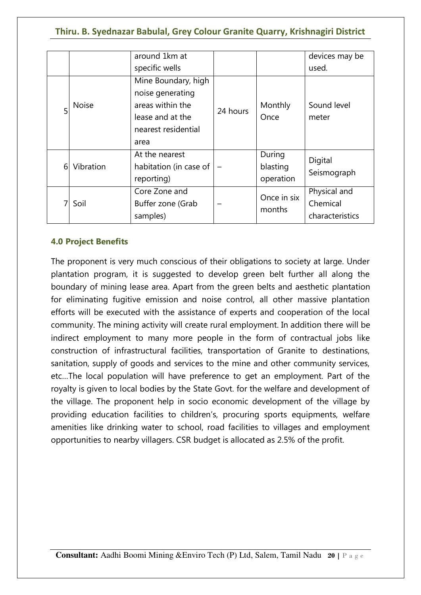|   |              | around 1km at                                                                                                  |          |                                 | devices may be                              |
|---|--------------|----------------------------------------------------------------------------------------------------------------|----------|---------------------------------|---------------------------------------------|
|   |              | specific wells                                                                                                 |          |                                 | used.                                       |
|   | <b>Noise</b> | Mine Boundary, high<br>noise generating<br>areas within the<br>lease and at the<br>nearest residential<br>area | 24 hours | Monthly<br>Once                 | Sound level<br>meter                        |
| 6 | Vibration    | At the nearest<br>habitation (in case of $\parallel$<br>reporting)                                             |          | During<br>blasting<br>operation | Digital<br>Seismograph                      |
|   | Soil         | Core Zone and<br>Buffer zone (Grab<br>samples)                                                                 |          | Once in six<br>months           | Physical and<br>Chemical<br>characteristics |

### **4.0 Project Benefits**

The proponent is very much conscious of their obligations to society at large. Under plantation program, it is suggested to develop green belt further all along the boundary of mining lease area. Apart from the green belts and aesthetic plantation for eliminating fugitive emission and noise control, all other massive plantation efforts will be executed with the assistance of experts and cooperation of the local community. The mining activity will create rural employment. In addition there will be indirect employment to many more people in the form of contractual jobs like construction of infrastructural facilities, transportation of Granite to destinations, sanitation, supply of goods and services to the mine and other community services, etc…The local population will have preference to get an employment. Part of the royalty is given to local bodies by the State Govt. for the welfare and development of the village. The proponent help in socio economic development of the village by providing education facilities to children's, procuring sports equipments, welfare amenities like drinking water to school, road facilities to villages and employment opportunities to nearby villagers. CSR budget is allocated as 2.5% of the profit.